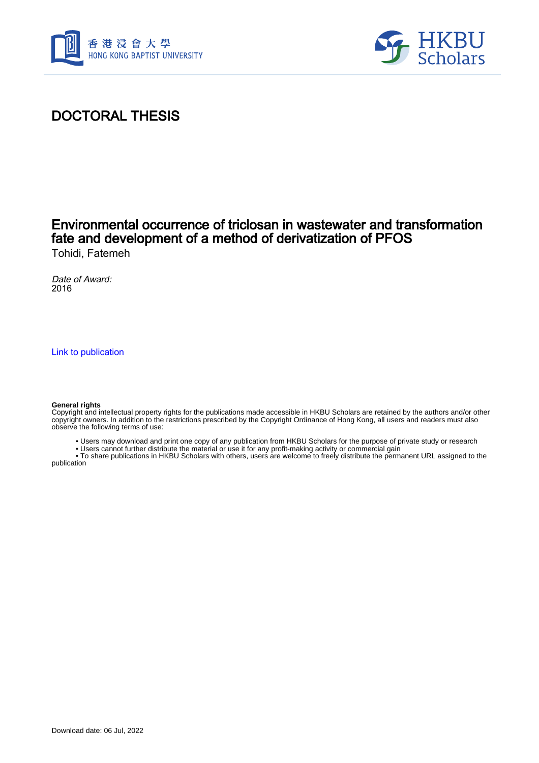



# DOCTORAL THESIS

## Environmental occurrence of triclosan in wastewater and transformation fate and development of a method of derivatization of PFOS Tohidi, Fatemeh

Date of Award: 2016

[Link to publication](https://scholars.hkbu.edu.hk/en/studentTheses/4f934042-9247-4c54-b536-81635909deb2)

#### **General rights**

Copyright and intellectual property rights for the publications made accessible in HKBU Scholars are retained by the authors and/or other copyright owners. In addition to the restrictions prescribed by the Copyright Ordinance of Hong Kong, all users and readers must also observe the following terms of use:

- Users may download and print one copy of any publication from HKBU Scholars for the purpose of private study or research
- Users cannot further distribute the material or use it for any profit-making activity or commercial gain

 • To share publications in HKBU Scholars with others, users are welcome to freely distribute the permanent URL assigned to the publication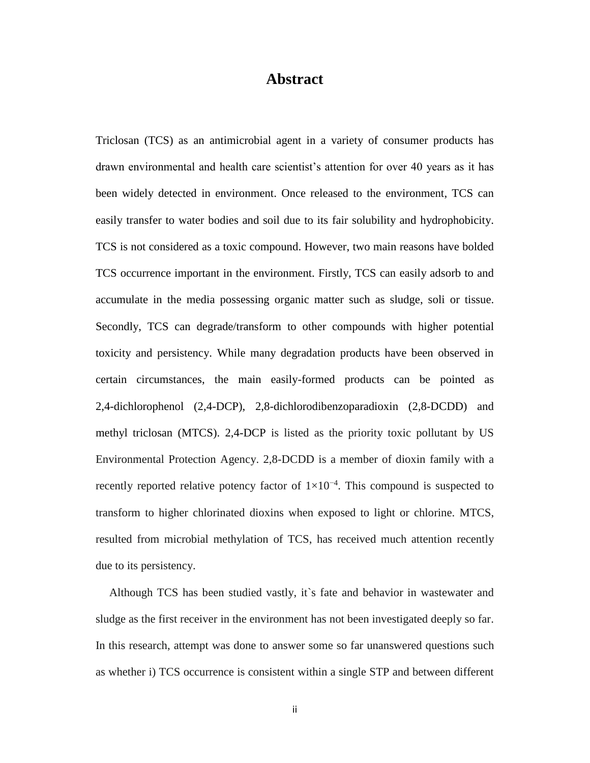### **Abstract**

Triclosan (TCS) as an antimicrobial agent in a variety of consumer products has drawn environmental and health care scientist's attention for over 40 years as it has been widely detected in environment. Once released to the environment, TCS can easily transfer to water bodies and soil due to its fair solubility and hydrophobicity. TCS is not considered as a toxic compound. However, two main reasons have bolded TCS occurrence important in the environment. Firstly, TCS can easily adsorb to and accumulate in the media possessing organic matter such as sludge, soli or tissue. Secondly, TCS can degrade/transform to other compounds with higher potential toxicity and persistency. While many degradation products have been observed in certain circumstances, the main easily-formed products can be pointed as 2,4-dichlorophenol (2,4-DCP), 2,8-dichlorodibenzoparadioxin (2,8-DCDD) and methyl triclosan (MTCS). 2,4-DCP is listed as the priority toxic pollutant by US Environmental Protection Agency. 2,8-DCDD is a member of dioxin family with a recently reported relative potency factor of  $1 \times 10^{-4}$ . This compound is suspected to transform to higher chlorinated dioxins when exposed to light or chlorine. MTCS, resulted from microbial methylation of TCS, has received much attention recently due to its persistency.

Although TCS has been studied vastly, it`s fate and behavior in wastewater and sludge as the first receiver in the environment has not been investigated deeply so far. In this research, attempt was done to answer some so far unanswered questions such as whether i) TCS occurrence is consistent within a single STP and between different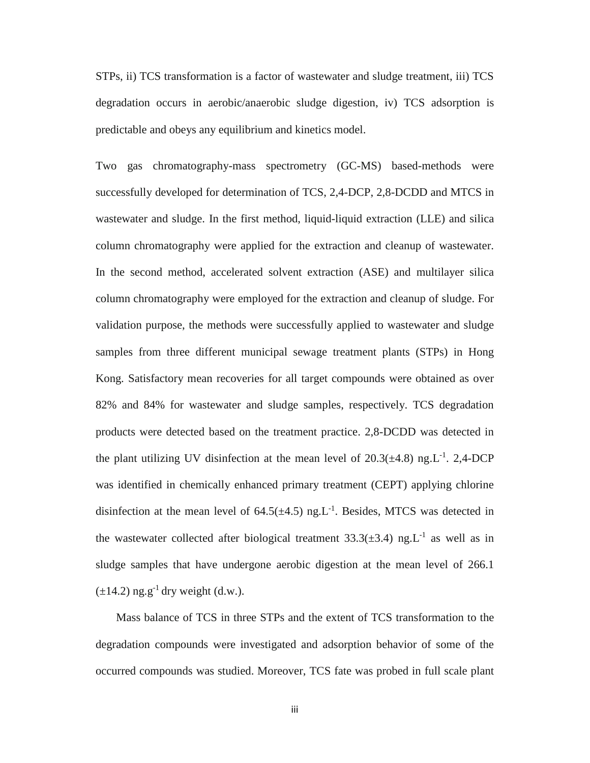STPs, ii) TCS transformation is a factor of wastewater and sludge treatment, iii) TCS degradation occurs in aerobic/anaerobic sludge digestion, iv) TCS adsorption is predictable and obeys any equilibrium and kinetics model.

Two gas chromatography-mass spectrometry (GC-MS) based-methods were successfully developed for determination of TCS, 2,4-DCP, 2,8-DCDD and MTCS in wastewater and sludge. In the first method, liquid-liquid extraction (LLE) and silica column chromatography were applied for the extraction and cleanup of wastewater. In the second method, accelerated solvent extraction (ASE) and multilayer silica column chromatography were employed for the extraction and cleanup of sludge. For validation purpose, the methods were successfully applied to wastewater and sludge samples from three different municipal sewage treatment plants (STPs) in Hong Kong. Satisfactory mean recoveries for all target compounds were obtained as over 82% and 84% for wastewater and sludge samples, respectively. TCS degradation products were detected based on the treatment practice. 2,8-DCDD was detected in the plant utilizing UV disinfection at the mean level of  $20.3(\pm 4.8)$  ng.L<sup>-1</sup>. 2,4-DCP was identified in chemically enhanced primary treatment (CEPT) applying chlorine disinfection at the mean level of  $64.5(\pm 4.5)$  ng.L<sup>-1</sup>. Besides, MTCS was detected in the wastewater collected after biological treatment  $33.3(\pm 3.4)$  ng.L<sup>-1</sup> as well as in sludge samples that have undergone aerobic digestion at the mean level of 266.1  $(\pm 14.2)$  ng.g<sup>-1</sup> dry weight (d.w.).

Mass balance of TCS in three STPs and the extent of TCS transformation to the degradation compounds were investigated and adsorption behavior of some of the occurred compounds was studied. Moreover, TCS fate was probed in full scale plant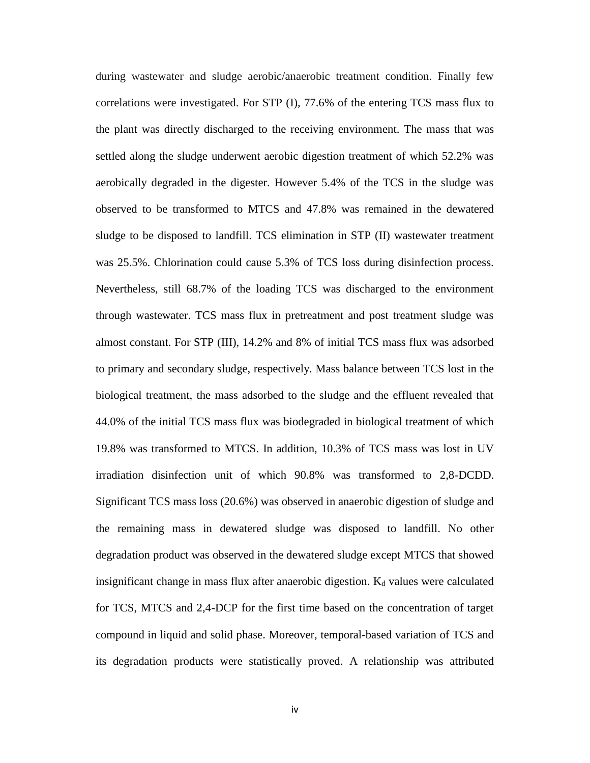during wastewater and sludge aerobic/anaerobic treatment condition. Finally few correlations were investigated. For STP (I), 77.6% of the entering TCS mass flux to the plant was directly discharged to the receiving environment. The mass that was settled along the sludge underwent aerobic digestion treatment of which 52.2% was aerobically degraded in the digester. However 5.4% of the TCS in the sludge was observed to be transformed to MTCS and 47.8% was remained in the dewatered sludge to be disposed to landfill. TCS elimination in STP (II) wastewater treatment was 25.5%. Chlorination could cause 5.3% of TCS loss during disinfection process. Nevertheless, still 68.7% of the loading TCS was discharged to the environment through wastewater. TCS mass flux in pretreatment and post treatment sludge was almost constant. For STP (III), 14.2% and 8% of initial TCS mass flux was adsorbed to primary and secondary sludge, respectively. Mass balance between TCS lost in the biological treatment, the mass adsorbed to the sludge and the effluent revealed that 44.0% of the initial TCS mass flux was biodegraded in biological treatment of which 19.8% was transformed to MTCS. In addition, 10.3% of TCS mass was lost in UV irradiation disinfection unit of which 90.8% was transformed to 2,8-DCDD. Significant TCS mass loss (20.6%) was observed in anaerobic digestion of sludge and the remaining mass in dewatered sludge was disposed to landfill. No other degradation product was observed in the dewatered sludge except MTCS that showed insignificant change in mass flux after anaerobic digestion.  $K_d$  values were calculated for TCS, MTCS and 2,4-DCP for the first time based on the concentration of target compound in liquid and solid phase. Moreover, temporal-based variation of TCS and its degradation products were statistically proved. A relationship was attributed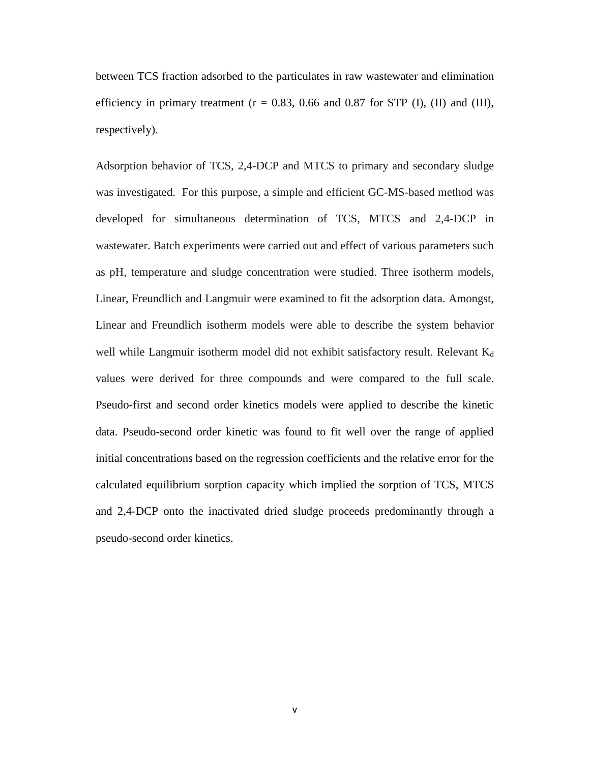between TCS fraction adsorbed to the particulates in raw wastewater and elimination efficiency in primary treatment  $(r = 0.83, 0.66$  and 0.87 for STP (I), (II) and (III), respectively).

Adsorption behavior of TCS, 2,4-DCP and MTCS to primary and secondary sludge was investigated. For this purpose, a simple and efficient GC-MS-based method was developed for simultaneous determination of TCS, MTCS and 2,4-DCP in wastewater. Batch experiments were carried out and effect of various parameters such as pH, temperature and sludge concentration were studied. Three isotherm models, Linear, Freundlich and Langmuir were examined to fit the adsorption data. Amongst, Linear and Freundlich isotherm models were able to describe the system behavior well while Langmuir isotherm model did not exhibit satisfactory result. Relevant  $K_d$ values were derived for three compounds and were compared to the full scale. Pseudo-first and second order kinetics models were applied to describe the kinetic data. Pseudo-second order kinetic was found to fit well over the range of applied initial concentrations based on the regression coefficients and the relative error for the calculated equilibrium sorption capacity which implied the sorption of TCS, MTCS and 2,4-DCP onto the inactivated dried sludge proceeds predominantly through a pseudo-second order kinetics.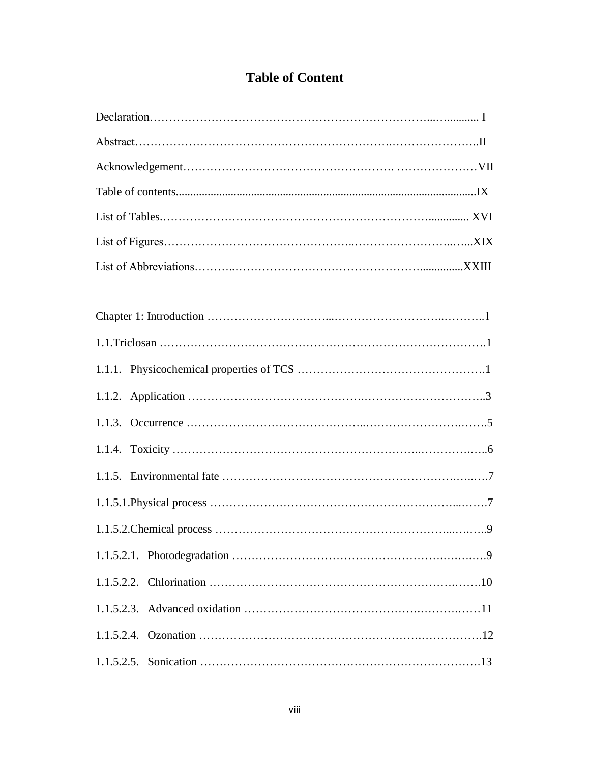## **Table of Content**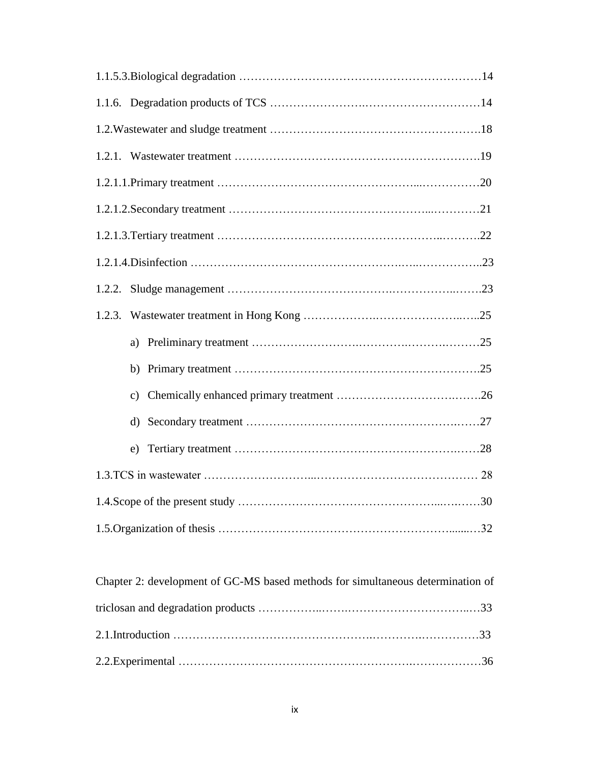| Chapter 2: development of GC-MS based methods for simultaneous determination of |  |
|---------------------------------------------------------------------------------|--|
|                                                                                 |  |
|                                                                                 |  |
|                                                                                 |  |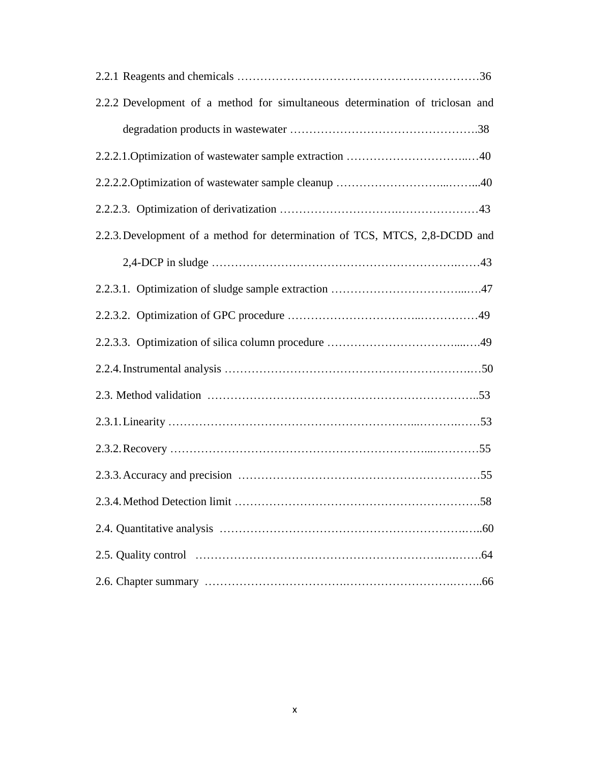| 2.2.2 Development of a method for simultaneous determination of triclosan and |
|-------------------------------------------------------------------------------|
|                                                                               |
|                                                                               |
|                                                                               |
|                                                                               |
| 2.2.3. Development of a method for determination of TCS, MTCS, 2,8-DCDD and   |
|                                                                               |
|                                                                               |
|                                                                               |
|                                                                               |
|                                                                               |
|                                                                               |
|                                                                               |
|                                                                               |
|                                                                               |
| 2.3.4. Method Detection limit.<br>.58                                         |
|                                                                               |
|                                                                               |
|                                                                               |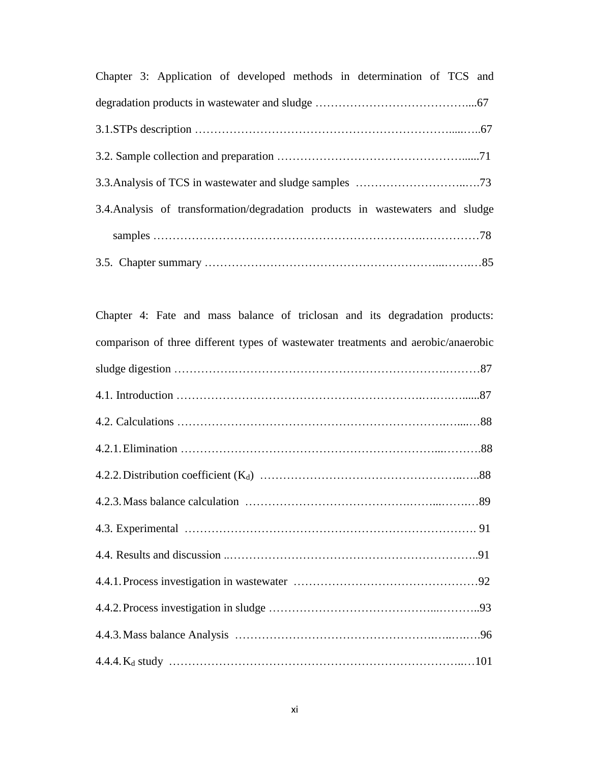| Chapter 3: Application of developed methods in determination of TCS and         |  |
|---------------------------------------------------------------------------------|--|
|                                                                                 |  |
|                                                                                 |  |
|                                                                                 |  |
|                                                                                 |  |
| 3.4. Analysis of transformation/degradation products in was tewaters and sludge |  |
|                                                                                 |  |
|                                                                                 |  |

| Chapter 4: Fate and mass balance of triclosan and its degradation products:        |
|------------------------------------------------------------------------------------|
| comparison of three different types of wastewater treatments and aerobic/anaerobic |
|                                                                                    |
|                                                                                    |
|                                                                                    |
|                                                                                    |
|                                                                                    |
|                                                                                    |
|                                                                                    |
|                                                                                    |
|                                                                                    |
|                                                                                    |
|                                                                                    |
|                                                                                    |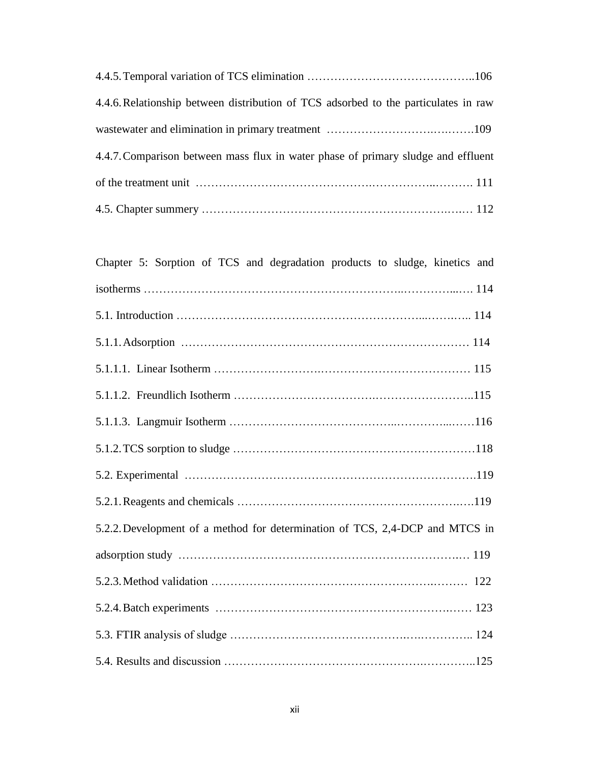| 4.4.6. Relationship between distribution of TCS adsorbed to the particulates in raw |
|-------------------------------------------------------------------------------------|
|                                                                                     |
| 4.4.7. Comparison between mass flux in water phase of primary sludge and effluent   |
|                                                                                     |
|                                                                                     |

| Chapter 5: Sorption of TCS and degradation products to sludge, kinetics and  |  |
|------------------------------------------------------------------------------|--|
|                                                                              |  |
|                                                                              |  |
|                                                                              |  |
|                                                                              |  |
|                                                                              |  |
|                                                                              |  |
|                                                                              |  |
|                                                                              |  |
|                                                                              |  |
| 5.2.2. Development of a method for determination of TCS, 2,4-DCP and MTCS in |  |
|                                                                              |  |
|                                                                              |  |
|                                                                              |  |
|                                                                              |  |
|                                                                              |  |